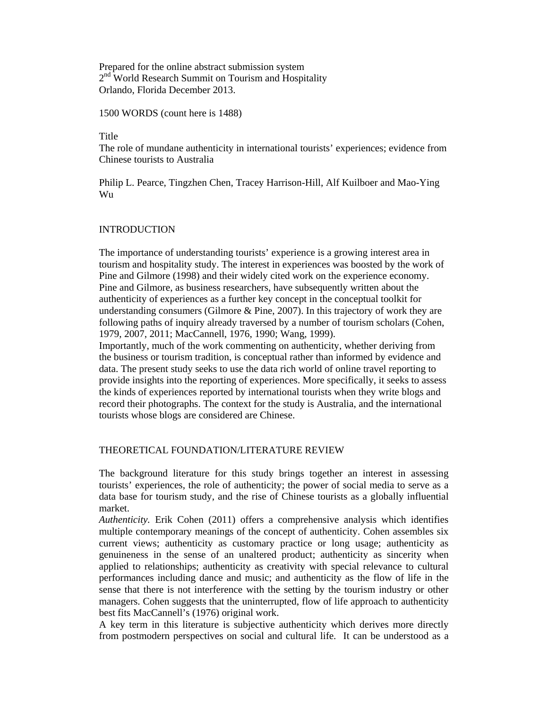Prepared for the online abstract submission system 2<sup>nd</sup> World Research Summit on Tourism and Hospitality Orlando, Florida December 2013.

1500 WORDS (count here is 1488)

### Title

The role of mundane authenticity in international tourists' experiences; evidence from Chinese tourists to Australia

Philip L. Pearce, Tingzhen Chen, Tracey Harrison-Hill, Alf Kuilboer and Mao-Ying Wu

# INTRODUCTION

The importance of understanding tourists' experience is a growing interest area in tourism and hospitality study. The interest in experiences was boosted by the work of Pine and Gilmore (1998) and their widely cited work on the experience economy. Pine and Gilmore, as business researchers, have subsequently written about the authenticity of experiences as a further key concept in the conceptual toolkit for understanding consumers (Gilmore  $\&$  Pine, 2007). In this trajectory of work they are following paths of inquiry already traversed by a number of tourism scholars (Cohen, 1979, 2007, 2011; MacCannell, 1976, 1990; Wang, 1999).

Importantly, much of the work commenting on authenticity, whether deriving from the business or tourism tradition, is conceptual rather than informed by evidence and data. The present study seeks to use the data rich world of online travel reporting to provide insights into the reporting of experiences. More specifically, it seeks to assess the kinds of experiences reported by international tourists when they write blogs and record their photographs. The context for the study is Australia, and the international tourists whose blogs are considered are Chinese.

# THEORETICAL FOUNDATION/LITERATURE REVIEW

The background literature for this study brings together an interest in assessing tourists' experiences, the role of authenticity; the power of social media to serve as a data base for tourism study, and the rise of Chinese tourists as a globally influential market.

*Authenticity.* Erik Cohen (2011) offers a comprehensive analysis which identifies multiple contemporary meanings of the concept of authenticity. Cohen assembles six current views; authenticity as customary practice or long usage; authenticity as genuineness in the sense of an unaltered product; authenticity as sincerity when applied to relationships; authenticity as creativity with special relevance to cultural performances including dance and music; and authenticity as the flow of life in the sense that there is not interference with the setting by the tourism industry or other managers. Cohen suggests that the uninterrupted, flow of life approach to authenticity best fits MacCannell's (1976) original work.

A key term in this literature is subjective authenticity which derives more directly from postmodern perspectives on social and cultural life. It can be understood as a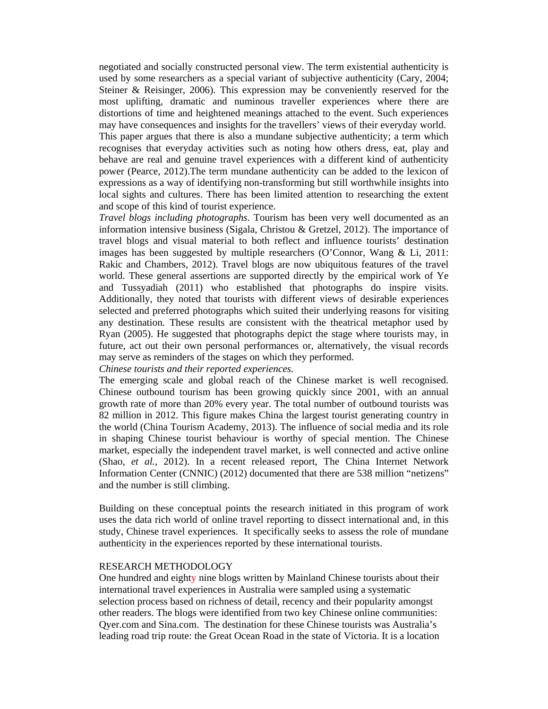negotiated and socially constructed personal view. The term existential authenticity is used by some researchers as a special variant of subjective authenticity (Cary, 2004; Steiner & Reisinger, 2006). This expression may be conveniently reserved for the most uplifting, dramatic and numinous traveller experiences where there are distortions of time and heightened meanings attached to the event. Such experiences may have consequences and insights for the travellers' views of their everyday world. This paper argues that there is also a mundane subjective authenticity; a term which recognises that everyday activities such as noting how others dress, eat, play and behave are real and genuine travel experiences with a different kind of authenticity power (Pearce, 2012).The term mundane authenticity can be added to the lexicon of expressions as a way of identifying non-transforming but still worthwhile insights into local sights and cultures. There has been limited attention to researching the extent and scope of this kind of tourist experience.

*Travel blogs including photographs*. Tourism has been very well documented as an information intensive business (Sigala, Christou & Gretzel, 2012). The importance of travel blogs and visual material to both reflect and influence tourists' destination images has been suggested by multiple researchers (O'Connor, Wang & Li, 2011: Rakic and Chambers, 2012). Travel blogs are now ubiquitous features of the travel world. These general assertions are supported directly by the empirical work of Ye and Tussyadiah (2011) who established that photographs do inspire visits. Additionally, they noted that tourists with different views of desirable experiences selected and preferred photographs which suited their underlying reasons for visiting any destination. These results are consistent with the theatrical metaphor used by Ryan (2005). He suggested that photographs depict the stage where tourists may, in future, act out their own personal performances or, alternatively, the visual records may serve as reminders of the stages on which they performed.

*Chinese tourists and their reported experiences.*

The emerging scale and global reach of the Chinese market is well recognised. Chinese outbound tourism has been growing quickly since 2001, with an annual growth rate of more than 20% every year. The total number of outbound tourists was 82 million in 2012. This figure makes China the largest tourist generating country in the world (China Tourism Academy, 2013). The influence of social media and its role in shaping Chinese tourist behaviour is worthy of special mention. The Chinese market, especially the independent travel market, is well connected and active online (Shao*, et al.*, 2012). In a recent released report, The China Internet Network Information Center (CNNIC) (2012) documented that there are 538 million "netizens" and the number is still climbing.

Building on these conceptual points the research initiated in this program of work uses the data rich world of online travel reporting to dissect international and, in this study, Chinese travel experiences. It specifically seeks to assess the role of mundane authenticity in the experiences reported by these international tourists.

### RESEARCH METHODOLOGY

One hundred and eighty nine blogs written by Mainland Chinese tourists about their international travel experiences in Australia were sampled using a systematic selection process based on richness of detail, recency and their popularity amongst other readers. The blogs were identified from two key Chinese online communities: Qyer.com and Sina.com. The destination for these Chinese tourists was Australia's leading road trip route: the Great Ocean Road in the state of Victoria. It is a location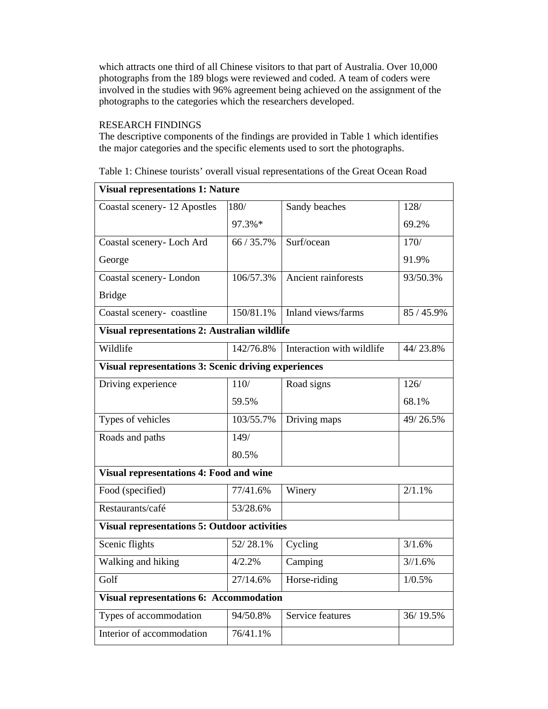which attracts one third of all Chinese visitors to that part of Australia. Over 10,000 photographs from the 189 blogs were reviewed and coded. A team of coders were involved in the studies with 96% agreement being achieved on the assignment of the photographs to the categories which the researchers developed.

# RESEARCH FINDINGS

The descriptive components of the findings are provided in Table 1 which identifies the major categories and the specific elements used to sort the photographs.

| <b>Visual representations 1: Nature</b>                     |            |                           |            |  |
|-------------------------------------------------------------|------------|---------------------------|------------|--|
| Coastal scenery-12 Apostles                                 | 180/       | Sandy beaches             | 128/       |  |
|                                                             | 97.3%*     |                           | 69.2%      |  |
| Coastal scenery- Loch Ard                                   | 66 / 35.7% | Surf/ocean                | 170/       |  |
| George                                                      |            |                           | 91.9%      |  |
| Coastal scenery-London                                      | 106/57.3%  | Ancient rainforests       | 93/50.3%   |  |
| <b>Bridge</b>                                               |            |                           |            |  |
| Coastal scenery-coastline                                   | 150/81.1%  | Inland views/farms        | 85 / 45.9% |  |
| Visual representations 2: Australian wildlife               |            |                           |            |  |
| Wildlife                                                    | 142/76.8%  | Interaction with wildlife | 44/23.8%   |  |
| <b>Visual representations 3: Scenic driving experiences</b> |            |                           |            |  |
| Driving experience                                          | 110/       | Road signs                | 126/       |  |
|                                                             | 59.5%      |                           | 68.1%      |  |
| Types of vehicles                                           | 103/55.7%  | Driving maps              | 49/26.5%   |  |
| Roads and paths                                             | 149/       |                           |            |  |
|                                                             | 80.5%      |                           |            |  |
| <b>Visual representations 4: Food and wine</b>              |            |                           |            |  |
| Food (specified)                                            | 77/41.6%   | Winery                    | 2/1.1%     |  |
| Restaurants/café                                            | 53/28.6%   |                           |            |  |
| <b>Visual representations 5: Outdoor activities</b>         |            |                           |            |  |
| Scenic flights                                              | 52/28.1%   | Cycling                   | 3/1.6%     |  |
| Walking and hiking                                          | 4/2.2%     | Camping                   | 3/1.6%     |  |
| Golf                                                        | 27/14.6%   | Horse-riding              | 1/0.5%     |  |
| <b>Visual representations 6: Accommodation</b>              |            |                           |            |  |
| Types of accommodation                                      | 94/50.8%   | Service features          | 36/19.5%   |  |
| Interior of accommodation                                   | 76/41.1%   |                           |            |  |

Table 1: Chinese tourists' overall visual representations of the Great Ocean Road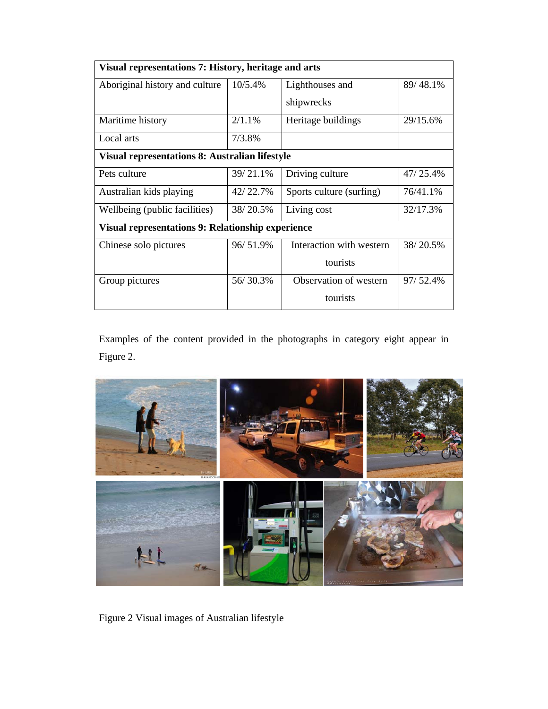| Visual representations 7: History, heritage and arts     |          |                          |          |  |  |
|----------------------------------------------------------|----------|--------------------------|----------|--|--|
| Aboriginal history and culture                           | 10/5.4%  | Lighthouses and          | 89/48.1% |  |  |
|                                                          |          | shipwrecks               |          |  |  |
| Maritime history                                         | 2/1.1%   | Heritage buildings       | 29/15.6% |  |  |
| Local arts                                               | 7/3.8%   |                          |          |  |  |
| <b>Visual representations 8: Australian lifestyle</b>    |          |                          |          |  |  |
| Pets culture                                             | 39/21.1% | Driving culture          | 47/25.4% |  |  |
| Australian kids playing                                  | 42/22.7% | Sports culture (surfing) | 76/41.1% |  |  |
| Wellbeing (public facilities)                            | 38/20.5% | Living cost              | 32/17.3% |  |  |
| <b>Visual representations 9: Relationship experience</b> |          |                          |          |  |  |
| Chinese solo pictures                                    | 96/51.9% | Interaction with western | 38/20.5% |  |  |
|                                                          |          | tourists                 |          |  |  |
| Group pictures                                           | 56/30.3% | Observation of western   | 97/52.4% |  |  |
|                                                          |          | tourists                 |          |  |  |

Examples of the content provided in the photographs in category eight appear in Figure 2.



Figure 2 Visual images of Australian lifestyle